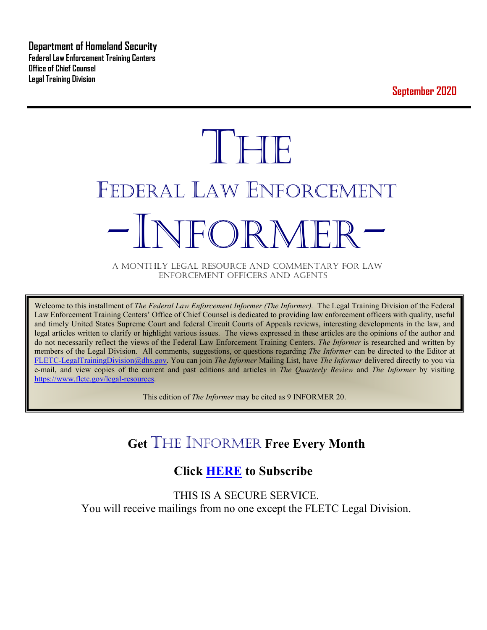**Department of Homeland Security Federal Law Enforcement Training Centers Office of Chief Counsel Legal Training Division** 

**September 2020**

# $\mathbb{T}$  The  $\mathbb{T}$ FEDERAL LAW ENFORCEMENT -INFORMER- A MONTHLY LEGAL RESOURCE AND COMMENTARY FOR LAW

ENFORCEMENT OFFICERS AND AGENTS

Welcome to this installment of *The Federal Law Enforcement Informer (The Informer).* The Legal Training Division of the Federal Law Enforcement Training Centers' Office of Chief Counsel is dedicated to providing law enforcement officers with quality, useful and timely United States Supreme Court and federal Circuit Courts of Appeals reviews, interesting developments in the law, and legal articles written to clarify or highlight various issues. The views expressed in these articles are the opinions of the author and do not necessarily reflect the views of the Federal Law Enforcement Training Centers. *The Informer* is researched and written by members of the Legal Division. All comments, suggestions, or questions regarding *The Informer* can be directed to the Editor at [FLETC-LegalTrainingDivision@dhs.gov.](mailto:FLETC-LegalTrainingDivision@dhs.gov) You can join *The Informer* Mailing List, have *The Informer* delivered directly to you via e-mail, and view copies of the current and past editions and articles in *The Quarterly Review* and *The Informer* by visiting [https://www.fletc.gov/legal-resources.](https://www.fletc.gov/legal-resources)

This edition of *The Informer* may be cited as 9 INFORMER 20.

### **Get** THE INFORMER **Free Every Month**

### **Click [HERE](https://app.co-sender.com/opt-in/list/7b007eab-378b-4542-807f-44d6de94cb7e) to Subscribe**

THIS IS A SECURE SERVICE. You will receive mailings from no one except the FLETC Legal Division.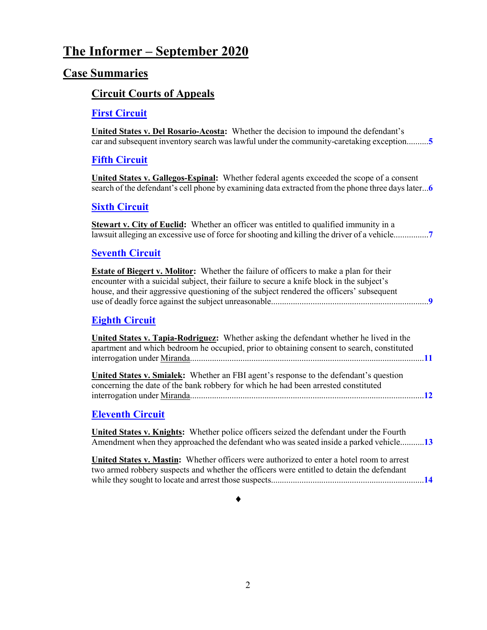### **The Informer – September 2020**

### **Case Summaries**

### **[Circuit Courts of Appeals](#page-4-0)**

### **[First Circuit](#page-4-1)**

**United States v. Del Rosario-Acosta:** Whether the decision to impound the defendant's car and subsequent inventory search was lawful under the community-caretaking exception..........**[5](#page-4-2)**

### **[Fifth Circuit](#page-5-0)**

**United States v. Gallegos-Espinal:** Whether federal agents exceeded the scope of a consent search of the defendant's cell phone by examining data extracted from the phone three days later...**[6](#page-5-1)**

### **[Sixth Circuit](#page-6-0)**

**Stewart v. City of Euclid:** Whether an officer was entitled to qualified immunity in a lawsuit alleging an excessive use of force for shooting and killing the driver of a vehicle................**[7](#page-6-1)**

### **[Seventh Circuit](#page-8-0)**

**Estate of Biegert v. Molitor:** Whether the failure of officers to make a plan for their encounter with a suicidal subject, their failure to secure a knife block in the subject's house, and their aggressive questioning of the subject rendered the officers' subsequent use of deadly force against the subject unreasonable........................................................................**[9](#page-8-1)**

### **[Eighth Circuit](#page-10-0)**

**United States v. Tapia-Rodriguez:** Whether asking the defendant whether he lived in the apartment and which bedroom he occupied, prior to obtaining consent to search, constituted interrogation under Miranda...........................................................................................................**[11](#page-10-1)**

**United States v. Smialek:** Whether an FBI agent's response to the defendant's question concerning the date of the bank robbery for which he had been arrested constituted interrogation under Miranda...........................................................................................................**[12](#page-11-0)**

### **[Eleventh Circuit](#page-12-0)**

**United States v. Knights:** Whether police officers seized the defendant under the Fourth Amendment when they approached the defendant who was seated inside a parked vehicle...........**[13](#page-12-1)**

**United States v. Mastin:** Whether officers were authorized to enter a hotel room to arrest two armed robbery suspects and whether the officers were entitled to detain the defendant while they sought to locate and arrest those suspects......................................................................**[14](#page-13-0)**

### ♦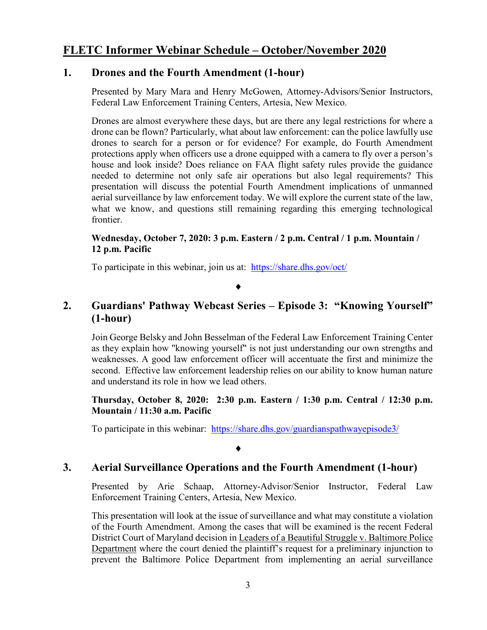### **FLETC Informer Webinar Schedule – October/November 2020**

### **1. Drones and the Fourth Amendment (1-hour)**

Presented by Mary Mara and Henry McGowen, Attorney-Advisors/Senior Instructors, Federal Law Enforcement Training Centers, Artesia, New Mexico.

Drones are almost everywhere these days, but are there any legal restrictions for where a drone can be flown? Particularly, what about law enforcement: can the police lawfully use drones to search for a person or for evidence? For example, do Fourth Amendment protections apply when officers use a drone equipped with a camera to fly over a person's house and look inside? Does reliance on FAA flight safety rules provide the guidance needed to determine not only safe air operations but also legal requirements? This presentation will discuss the potential Fourth Amendment implications of unmanned aerial surveillance by law enforcement today. We will explore the current state of the law, what we know, and questions still remaining regarding this emerging technological frontier.

#### **Wednesday, October 7, 2020: 3 p.m. Eastern / 2 p.m. Central / 1 p.m. Mountain / 12 p.m. Pacific**

To participate in this webinar, join us at: <https://share.dhs.gov/oct/>

### ♦

### **2. Guardians' Pathway Webcast Series – Episode 3: "Knowing Yourself" (1-hour)**

Join George Belsky and John Besselman of the Federal Law Enforcement Training Center as they explain how "knowing yourself" is not just understanding our own strengths and weaknesses. A good law enforcement officer will accentuate the first and minimize the second. Effective law enforcement leadership relies on our ability to know human nature and understand its role in how we lead others.

#### **Thursday, October 8, 2020: 2:30 p.m. Eastern / 1:30 p.m. Central / 12:30 p.m. Mountain / 11:30 a.m. Pacific**

To participate in this webinar: <https://share.dhs.gov/guardianspathwayepisode3/>

#### ♦

### **3. Aerial Surveillance Operations and the Fourth Amendment (1-hour)**

Presented by Arie Schaap, Attorney-Advisor/Senior Instructor, Federal Law Enforcement Training Centers, Artesia, New Mexico.

This presentation will look at the issue of surveillance and what may constitute a violation of the Fourth Amendment. Among the cases that will be examined is the recent Federal District Court of Maryland decision in Leaders of a Beautiful Struggle v. Baltimore Police Department where the court denied the plaintiff's request for a preliminary injunction to prevent the Baltimore Police Department from implementing an aerial surveillance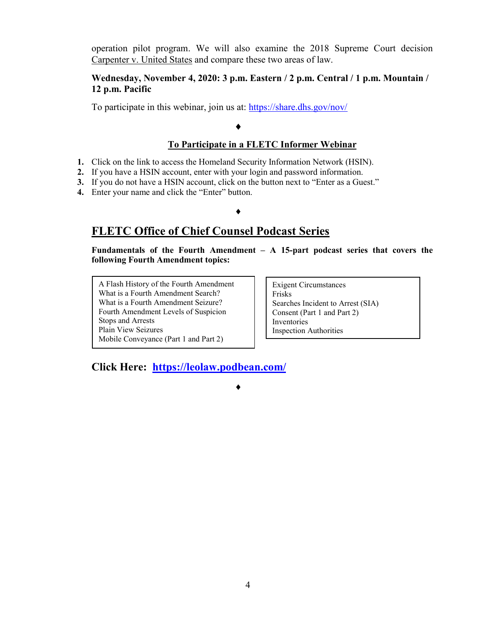operation pilot program. We will also examine the 2018 Supreme Court decision Carpenter v. United States and compare these two areas of law.

#### **Wednesday, November 4, 2020: 3 p.m. Eastern / 2 p.m. Central / 1 p.m. Mountain / 12 p.m. Pacific**

To participate in this webinar, join us at:<https://share.dhs.gov/nov/>

### **To Participate in a FLETC Informer Webinar**

- **1.** Click on the link to access the Homeland Security Information Network (HSIN).
- **2.** If you have a HSIN account, enter with your login and password information.
- **3.** If you do not have a HSIN account, click on the button next to "Enter as a Guest."
- **4.** Enter your name and click the "Enter" button.

#### ♦

♦

♦

### **FLETC Office of Chief Counsel Podcast Series**

**Fundamentals of the Fourth Amendment – A 15-part podcast series that covers the following Fourth Amendment topics:** 

A Flash History of the Fourth Amendment What is a Fourth Amendment Search? What is a Fourth Amendment Seizure? Fourth Amendment Levels of Suspicion Stops and Arrests Plain View Seizures Mobile Conveyance (Part 1 and Part 2)

Exigent Circumstances Frisks Searches Incident to Arrest (SIA) Consent (Part 1 and Part 2) Inventories Inspection Authorities

**Click Here: <https://leolaw.podbean.com/>**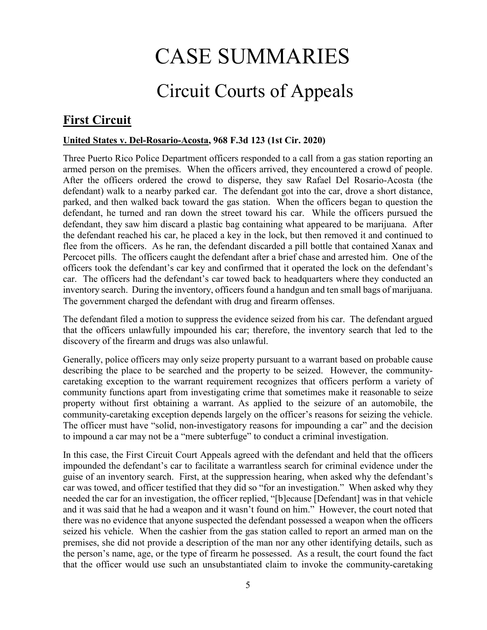## CASE SUMMARIES

### Circuit Courts of Appeals

### <span id="page-4-1"></span><span id="page-4-0"></span>**First Circuit**

### <span id="page-4-2"></span>**United States v. Del-Rosario-Acosta, 968 F.3d 123 (1st Cir. 2020)**

Three Puerto Rico Police Department officers responded to a call from a gas station reporting an armed person on the premises. When the officers arrived, they encountered a crowd of people. After the officers ordered the crowd to disperse, they saw Rafael Del Rosario-Acosta (the defendant) walk to a nearby parked car. The defendant got into the car, drove a short distance, parked, and then walked back toward the gas station. When the officers began to question the defendant, he turned and ran down the street toward his car. While the officers pursued the defendant, they saw him discard a plastic bag containing what appeared to be marijuana. After the defendant reached his car, he placed a key in the lock, but then removed it and continued to flee from the officers. As he ran, the defendant discarded a pill bottle that contained Xanax and Percocet pills. The officers caught the defendant after a brief chase and arrested him. One of the officers took the defendant's car key and confirmed that it operated the lock on the defendant's car. The officers had the defendant's car towed back to headquarters where they conducted an inventory search. During the inventory, officers found a handgun and ten small bags of marijuana. The government charged the defendant with drug and firearm offenses.

The defendant filed a motion to suppress the evidence seized from his car. The defendant argued that the officers unlawfully impounded his car; therefore, the inventory search that led to the discovery of the firearm and drugs was also unlawful.

Generally, police officers may only seize property pursuant to a warrant based on probable cause describing the place to be searched and the property to be seized. However, the communitycaretaking exception to the warrant requirement recognizes that officers perform a variety of community functions apart from investigating crime that sometimes make it reasonable to seize property without first obtaining a warrant. As applied to the seizure of an automobile, the community-caretaking exception depends largely on the officer's reasons for seizing the vehicle. The officer must have "solid, non-investigatory reasons for impounding a car" and the decision to impound a car may not be a "mere subterfuge" to conduct a criminal investigation.

In this case, the First Circuit Court Appeals agreed with the defendant and held that the officers impounded the defendant's car to facilitate a warrantless search for criminal evidence under the guise of an inventory search. First, at the suppression hearing, when asked why the defendant's car was towed, and officer testified that they did so "for an investigation." When asked why they needed the car for an investigation, the officer replied, "[b]ecause [Defendant] was in that vehicle and it was said that he had a weapon and it wasn't found on him." However, the court noted that there was no evidence that anyone suspected the defendant possessed a weapon when the officers seized his vehicle. When the cashier from the gas station called to report an armed man on the premises, she did not provide a description of the man nor any other identifying details, such as the person's name, age, or the type of firearm he possessed. As a result, the court found the fact that the officer would use such an unsubstantiated claim to invoke the community-caretaking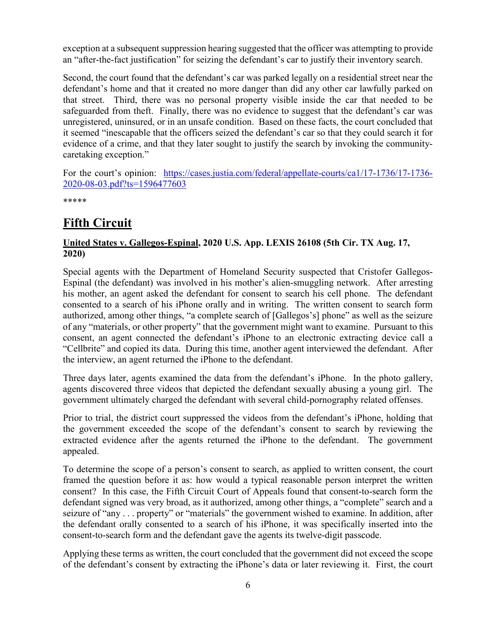exception at a subsequent suppression hearing suggested that the officer was attempting to provide an "after-the-fact justification" for seizing the defendant's car to justify their inventory search.

Second, the court found that the defendant's car was parked legally on a residential street near the defendant's home and that it created no more danger than did any other car lawfully parked on that street. Third, there was no personal property visible inside the car that needed to be safeguarded from theft. Finally, there was no evidence to suggest that the defendant's car was unregistered, uninsured, or in an unsafe condition. Based on these facts, the court concluded that it seemed "inescapable that the officers seized the defendant's car so that they could search it for evidence of a crime, and that they later sought to justify the search by invoking the communitycaretaking exception."

For the court's opinion: [https://cases.justia.com/federal/appellate-courts/ca1/17-1736/17-1736-](https://cases.justia.com/federal/appellate-courts/ca1/17-1736/17-1736-2020-08-03.pdf?ts=1596477603) [2020-08-03.pdf?ts=1596477603](https://cases.justia.com/federal/appellate-courts/ca1/17-1736/17-1736-2020-08-03.pdf?ts=1596477603)

\*\*\*\*\*

### <span id="page-5-0"></span>**Fifth Circuit**

### <span id="page-5-1"></span>**United States v. Gallegos-Espinal, 2020 U.S. App. LEXIS 26108 (5th Cir. TX Aug. 17, 2020)**

Special agents with the Department of Homeland Security suspected that Cristofer Gallegos-Espinal (the defendant) was involved in his mother's alien-smuggling network. After arresting his mother, an agent asked the defendant for consent to search his cell phone. The defendant consented to a search of his iPhone orally and in writing. The written consent to search form authorized, among other things, "a complete search of [Gallegos's] phone" as well as the seizure of any "materials, or other property" that the government might want to examine. Pursuant to this consent, an agent connected the defendant's iPhone to an electronic extracting device call a "Cellbrite" and copied its data. During this time, another agent interviewed the defendant. After the interview, an agent returned the iPhone to the defendant.

Three days later, agents examined the data from the defendant's iPhone. In the photo gallery, agents discovered three videos that depicted the defendant sexually abusing a young girl. The government ultimately charged the defendant with several child-pornography related offenses.

Prior to trial, the district court suppressed the videos from the defendant's iPhone, holding that the government exceeded the scope of the defendant's consent to search by reviewing the extracted evidence after the agents returned the iPhone to the defendant. The government appealed.

To determine the scope of a person's consent to search, as applied to written consent, the court framed the question before it as: how would a typical reasonable person interpret the written consent? In this case, the Fifth Circuit Court of Appeals found that consent-to-search form the defendant signed was very broad, as it authorized, among other things, a "complete" search and a seizure of "any . . . property" or "materials" the government wished to examine. In addition, after the defendant orally consented to a search of his iPhone, it was specifically inserted into the consent-to-search form and the defendant gave the agents its twelve-digit passcode.

Applying these terms as written, the court concluded that the government did not exceed the scope of the defendant's consent by extracting the iPhone's data or later reviewing it. First, the court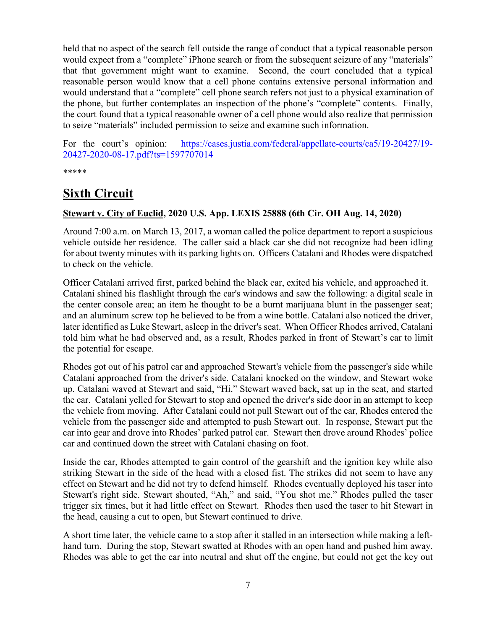held that no aspect of the search fell outside the range of conduct that a typical reasonable person would expect from a "complete" iPhone search or from the subsequent seizure of any "materials" that that government might want to examine. Second, the court concluded that a typical reasonable person would know that a cell phone contains extensive personal information and would understand that a "complete" cell phone search refers not just to a physical examination of the phone, but further contemplates an inspection of the phone's "complete" contents. Finally, the court found that a typical reasonable owner of a cell phone would also realize that permission to seize "materials" included permission to seize and examine such information.

For the court's opinion: [https://cases.justia.com/federal/appellate-courts/ca5/19-20427/19-](https://cases.justia.com/federal/appellate-courts/ca5/19-20427/19-20427-2020-08-17.pdf?ts=1597707014) [20427-2020-08-17.pdf?ts=1597707014](https://cases.justia.com/federal/appellate-courts/ca5/19-20427/19-20427-2020-08-17.pdf?ts=1597707014)

\*\*\*\*\*

### <span id="page-6-0"></span>**Sixth Circuit**

### <span id="page-6-1"></span>**Stewart v. City of Euclid, 2020 U.S. App. LEXIS 25888 (6th Cir. OH Aug. 14, 2020)**

Around 7:00 a.m. on March 13, 2017, a woman called the police department to report a suspicious vehicle outside her residence. The caller said a black car she did not recognize had been idling for about twenty minutes with its parking lights on. Officers Catalani and Rhodes were dispatched to check on the vehicle.

Officer Catalani arrived first, parked behind the black car, exited his vehicle, and approached it. Catalani shined his flashlight through the car's windows and saw the following: a digital scale in the center console area; an item he thought to be a burnt marijuana blunt in the passenger seat; and an aluminum screw top he believed to be from a wine bottle. Catalani also noticed the driver, later identified as Luke Stewart, asleep in the driver's seat. When Officer Rhodes arrived, Catalani told him what he had observed and, as a result, Rhodes parked in front of Stewart's car to limit the potential for escape.

Rhodes got out of his patrol car and approached Stewart's vehicle from the passenger's side while Catalani approached from the driver's side. Catalani knocked on the window, and Stewart woke up. Catalani waved at Stewart and said, "Hi." Stewart waved back, sat up in the seat, and started the car. Catalani yelled for Stewart to stop and opened the driver's side door in an attempt to keep the vehicle from moving. After Catalani could not pull Stewart out of the car, Rhodes entered the vehicle from the passenger side and attempted to push Stewart out. In response, Stewart put the car into gear and drove into Rhodes' parked patrol car. Stewart then drove around Rhodes' police car and continued down the street with Catalani chasing on foot.

Inside the car, Rhodes attempted to gain control of the gearshift and the ignition key while also striking Stewart in the side of the head with a closed fist. The strikes did not seem to have any effect on Stewart and he did not try to defend himself. Rhodes eventually deployed his taser into Stewart's right side. Stewart shouted, "Ah," and said, "You shot me." Rhodes pulled the taser trigger six times, but it had little effect on Stewart. Rhodes then used the taser to hit Stewart in the head, causing a cut to open, but Stewart continued to drive.

A short time later, the vehicle came to a stop after it stalled in an intersection while making a lefthand turn. During the stop, Stewart swatted at Rhodes with an open hand and pushed him away. Rhodes was able to get the car into neutral and shut off the engine, but could not get the key out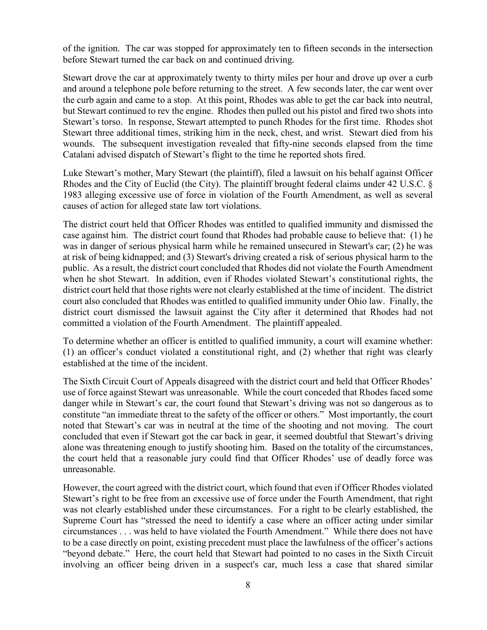of the ignition. The car was stopped for approximately ten to fifteen seconds in the intersection before Stewart turned the car back on and continued driving.

Stewart drove the car at approximately twenty to thirty miles per hour and drove up over a curb and around a telephone pole before returning to the street. A few seconds later, the car went over the curb again and came to a stop. At this point, Rhodes was able to get the car back into neutral, but Stewart continued to rev the engine. Rhodes then pulled out his pistol and fired two shots into Stewart's torso. In response, Stewart attempted to punch Rhodes for the first time. Rhodes shot Stewart three additional times, striking him in the neck, chest, and wrist. Stewart died from his wounds. The subsequent investigation revealed that fifty-nine seconds elapsed from the time Catalani advised dispatch of Stewart's flight to the time he reported shots fired.

Luke Stewart's mother, Mary Stewart (the plaintiff), filed a lawsuit on his behalf against Officer Rhodes and the City of Euclid (the City). The plaintiff brought federal claims under 42 U.S.C. § 1983 alleging excessive use of force in violation of the Fourth Amendment, as well as several causes of action for alleged state law tort violations.

The district court held that Officer Rhodes was entitled to qualified immunity and dismissed the case against him. The district court found that Rhodes had probable cause to believe that: (1) he was in danger of serious physical harm while he remained unsecured in Stewart's car; (2) he was at risk of being kidnapped; and (3) Stewart's driving created a risk of serious physical harm to the public. As a result, the district court concluded that Rhodes did not violate the Fourth Amendment when he shot Stewart. In addition, even if Rhodes violated Stewart's constitutional rights, the district court held that those rights were not clearly established at the time of incident. The district court also concluded that Rhodes was entitled to qualified immunity under Ohio law. Finally, the district court dismissed the lawsuit against the City after it determined that Rhodes had not committed a violation of the Fourth Amendment. The plaintiff appealed.

To determine whether an officer is entitled to qualified immunity, a court will examine whether: (1) an officer's conduct violated a constitutional right, and (2) whether that right was clearly established at the time of the incident.

The Sixth Circuit Court of Appeals disagreed with the district court and held that Officer Rhodes' use of force against Stewart was unreasonable. While the court conceded that Rhodes faced some danger while in Stewart's car, the court found that Stewart's driving was not so dangerous as to constitute "an immediate threat to the safety of the officer or others." Most importantly, the court noted that Stewart's car was in neutral at the time of the shooting and not moving. The court concluded that even if Stewart got the car back in gear, it seemed doubtful that Stewart's driving alone was threatening enough to justify shooting him. Based on the totality of the circumstances, the court held that a reasonable jury could find that Officer Rhodes' use of deadly force was unreasonable.

However, the court agreed with the district court, which found that even if Officer Rhodes violated Stewart's right to be free from an excessive use of force under the Fourth Amendment, that right was not clearly established under these circumstances. For a right to be clearly established, the Supreme Court has "stressed the need to identify a case where an officer acting under similar circumstances . . . was held to have violated the Fourth Amendment." While there does not have to be a case directly on point, existing precedent must place the lawfulness of the officer's actions "beyond debate." Here, the court held that Stewart had pointed to no cases in the Sixth Circuit involving an officer being driven in a suspect's car, much less a case that shared similar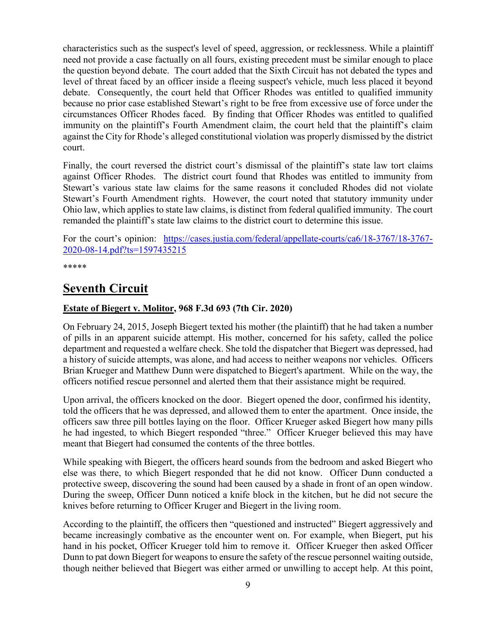characteristics such as the suspect's level of speed, aggression, or recklessness. While a plaintiff need not provide a case factually on all fours, existing precedent must be similar enough to place the question beyond debate. The court added that the Sixth Circuit has not debated the types and level of threat faced by an officer inside a fleeing suspect's vehicle, much less placed it beyond debate. Consequently, the court held that Officer Rhodes was entitled to qualified immunity because no prior case established Stewart's right to be free from excessive use of force under the circumstances Officer Rhodes faced. By finding that Officer Rhodes was entitled to qualified immunity on the plaintiff's Fourth Amendment claim, the court held that the plaintiff's claim against the City for Rhode's alleged constitutional violation was properly dismissed by the district court.

Finally, the court reversed the district court's dismissal of the plaintiff's state law tort claims against Officer Rhodes. The district court found that Rhodes was entitled to immunity from Stewart's various state law claims for the same reasons it concluded Rhodes did not violate Stewart's Fourth Amendment rights. However, the court noted that statutory immunity under Ohio law, which applies to state law claims, is distinct from federal qualified immunity. The court remanded the plaintiff's state law claims to the district court to determine this issue.

For the court's opinion: [https://cases.justia.com/federal/appellate-courts/ca6/18-3767/18-3767-](https://cases.justia.com/federal/appellate-courts/ca6/18-3767/18-3767-2020-08-14.pdf?ts=1597435215) [2020-08-14.pdf?ts=1597435215](https://cases.justia.com/federal/appellate-courts/ca6/18-3767/18-3767-2020-08-14.pdf?ts=1597435215)

\*\*\*\*\*

### <span id="page-8-0"></span>**Seventh Circuit**

#### <span id="page-8-1"></span>**Estate of Biegert v. Molitor, 968 F.3d 693 (7th Cir. 2020)**

On February 24, 2015, Joseph Biegert texted his mother (the plaintiff) that he had taken a number of pills in an apparent suicide attempt. His mother, concerned for his safety, called the police department and requested a welfare check. She told the dispatcher that Biegert was depressed, had a history of suicide attempts, was alone, and had access to neither weapons nor vehicles. Officers Brian Krueger and Matthew Dunn were dispatched to Biegert's apartment. While on the way, the officers notified rescue personnel and alerted them that their assistance might be required.

Upon arrival, the officers knocked on the door. Biegert opened the door, confirmed his identity, told the officers that he was depressed, and allowed them to enter the apartment. Once inside, the officers saw three pill bottles laying on the floor. Officer Krueger asked Biegert how many pills he had ingested, to which Biegert responded "three." Officer Krueger believed this may have meant that Biegert had consumed the contents of the three bottles.

While speaking with Biegert, the officers heard sounds from the bedroom and asked Biegert who else was there, to which Biegert responded that he did not know. Officer Dunn conducted a protective sweep, discovering the sound had been caused by a shade in front of an open window. During the sweep, Officer Dunn noticed a knife block in the kitchen, but he did not secure the knives before returning to Officer Kruger and Biegert in the living room.

According to the plaintiff, the officers then "questioned and instructed" Biegert aggressively and became increasingly combative as the encounter went on. For example, when Biegert, put his hand in his pocket, Officer Krueger told him to remove it. Officer Krueger then asked Officer Dunn to pat down Biegert for weapons to ensure the safety of the rescue personnel waiting outside, though neither believed that Biegert was either armed or unwilling to accept help. At this point,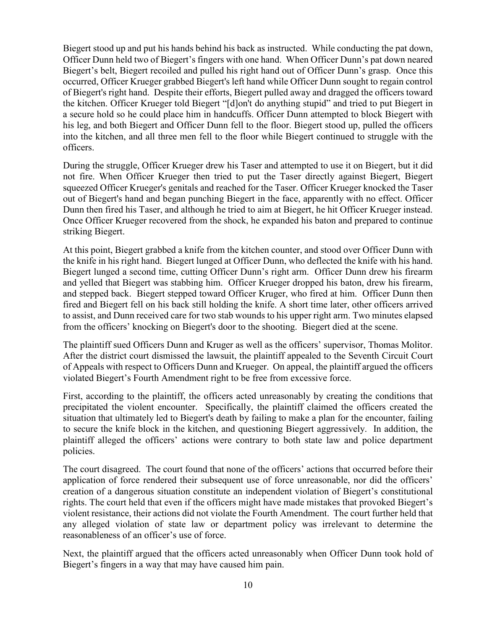Biegert stood up and put his hands behind his back as instructed. While conducting the pat down, Officer Dunn held two of Biegert's fingers with one hand. When Officer Dunn's pat down neared Biegert's belt, Biegert recoiled and pulled his right hand out of Officer Dunn's grasp. Once this occurred, Officer Krueger grabbed Biegert's left hand while Officer Dunn sought to regain control of Biegert's right hand. Despite their efforts, Biegert pulled away and dragged the officers toward the kitchen. Officer Krueger told Biegert "[d]on't do anything stupid" and tried to put Biegert in a secure hold so he could place him in handcuffs. Officer Dunn attempted to block Biegert with his leg, and both Biegert and Officer Dunn fell to the floor. Biegert stood up, pulled the officers into the kitchen, and all three men fell to the floor while Biegert continued to struggle with the officers.

During the struggle, Officer Krueger drew his Taser and attempted to use it on Biegert, but it did not fire. When Officer Krueger then tried to put the Taser directly against Biegert, Biegert squeezed Officer Krueger's genitals and reached for the Taser. Officer Krueger knocked the Taser out of Biegert's hand and began punching Biegert in the face, apparently with no effect. Officer Dunn then fired his Taser, and although he tried to aim at Biegert, he hit Officer Krueger instead. Once Officer Krueger recovered from the shock, he expanded his baton and prepared to continue striking Biegert.

At this point, Biegert grabbed a knife from the kitchen counter, and stood over Officer Dunn with the knife in his right hand. Biegert lunged at Officer Dunn, who deflected the knife with his hand. Biegert lunged a second time, cutting Officer Dunn's right arm. Officer Dunn drew his firearm and yelled that Biegert was stabbing him. Officer Krueger dropped his baton, drew his firearm, and stepped back. Biegert stepped toward Officer Kruger, who fired at him. Officer Dunn then fired and Biegert fell on his back still holding the knife. A short time later, other officers arrived to assist, and Dunn received care for two stab wounds to his upper right arm. Two minutes elapsed from the officers' knocking on Biegert's door to the shooting. Biegert died at the scene.

The plaintiff sued Officers Dunn and Kruger as well as the officers' supervisor, Thomas Molitor. After the district court dismissed the lawsuit, the plaintiff appealed to the Seventh Circuit Court of Appeals with respect to Officers Dunn and Krueger. On appeal, the plaintiff argued the officers violated Biegert's Fourth Amendment right to be free from excessive force.

First, according to the plaintiff, the officers acted unreasonably by creating the conditions that precipitated the violent encounter. Specifically, the plaintiff claimed the officers created the situation that ultimately led to Biegert's death by failing to make a plan for the encounter, failing to secure the knife block in the kitchen, and questioning Biegert aggressively. In addition, the plaintiff alleged the officers' actions were contrary to both state law and police department policies.

The court disagreed. The court found that none of the officers' actions that occurred before their application of force rendered their subsequent use of force unreasonable, nor did the officers' creation of a dangerous situation constitute an independent violation of Biegert's constitutional rights. The court held that even if the officers might have made mistakes that provoked Biegert's violent resistance, their actions did not violate the Fourth Amendment. The court further held that any alleged violation of state law or department policy was irrelevant to determine the reasonableness of an officer's use of force.

Next, the plaintiff argued that the officers acted unreasonably when Officer Dunn took hold of Biegert's fingers in a way that may have caused him pain.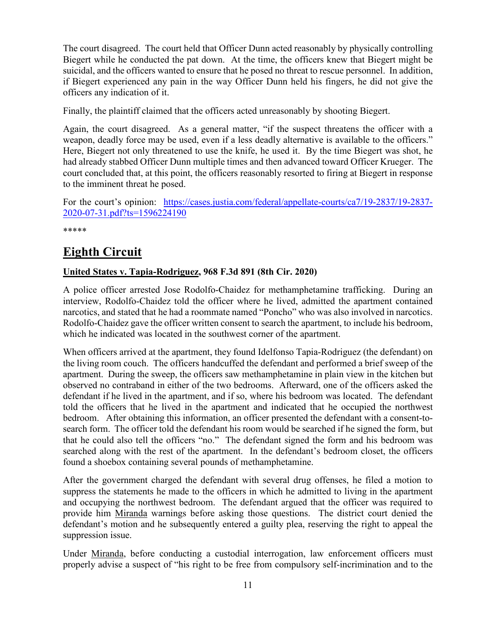The court disagreed. The court held that Officer Dunn acted reasonably by physically controlling Biegert while he conducted the pat down. At the time, the officers knew that Biegert might be suicidal, and the officers wanted to ensure that he posed no threat to rescue personnel. In addition, if Biegert experienced any pain in the way Officer Dunn held his fingers, he did not give the officers any indication of it.

Finally, the plaintiff claimed that the officers acted unreasonably by shooting Biegert.

Again, the court disagreed. As a general matter, "if the suspect threatens the officer with a weapon, deadly force may be used, even if a less deadly alternative is available to the officers." Here, Biegert not only threatened to use the knife, he used it. By the time Biegert was shot, he had already stabbed Officer Dunn multiple times and then advanced toward Officer Krueger. The court concluded that, at this point, the officers reasonably resorted to firing at Biegert in response to the imminent threat he posed.

For the court's opinion: [https://cases.justia.com/federal/appellate-courts/ca7/19-2837/19-2837-](https://cases.justia.com/federal/appellate-courts/ca7/19-2837/19-2837-2020-07-31.pdf?ts=1596224190) [2020-07-31.pdf?ts=1596224190](https://cases.justia.com/federal/appellate-courts/ca7/19-2837/19-2837-2020-07-31.pdf?ts=1596224190)

\*\*\*\*\*

### <span id="page-10-0"></span>**Eighth Circuit**

#### <span id="page-10-1"></span>**United States v. Tapia-Rodriguez, 968 F.3d 891 (8th Cir. 2020)**

A police officer arrested Jose Rodolfo-Chaidez for methamphetamine trafficking. During an interview, Rodolfo-Chaidez told the officer where he lived, admitted the apartment contained narcotics, and stated that he had a roommate named "Poncho" who was also involved in narcotics. Rodolfo-Chaidez gave the officer written consent to search the apartment, to include his bedroom, which he indicated was located in the southwest corner of the apartment.

When officers arrived at the apartment, they found Idelfonso Tapia-Rodriguez (the defendant) on the living room couch. The officers handcuffed the defendant and performed a brief sweep of the apartment. During the sweep, the officers saw methamphetamine in plain view in the kitchen but observed no contraband in either of the two bedrooms. Afterward, one of the officers asked the defendant if he lived in the apartment, and if so, where his bedroom was located. The defendant told the officers that he lived in the apartment and indicated that he occupied the northwest bedroom. After obtaining this information, an officer presented the defendant with a consent-tosearch form. The officer told the defendant his room would be searched if he signed the form, but that he could also tell the officers "no." The defendant signed the form and his bedroom was searched along with the rest of the apartment. In the defendant's bedroom closet, the officers found a shoebox containing several pounds of methamphetamine.

After the government charged the defendant with several drug offenses, he filed a motion to suppress the statements he made to the officers in which he admitted to living in the apartment and occupying the northwest bedroom. The defendant argued that the officer was required to provide him Miranda warnings before asking those questions. The district court denied the defendant's motion and he subsequently entered a guilty plea, reserving the right to appeal the suppression issue.

Under Miranda, before conducting a custodial interrogation, law enforcement officers must properly advise a suspect of "his right to be free from compulsory self-incrimination and to the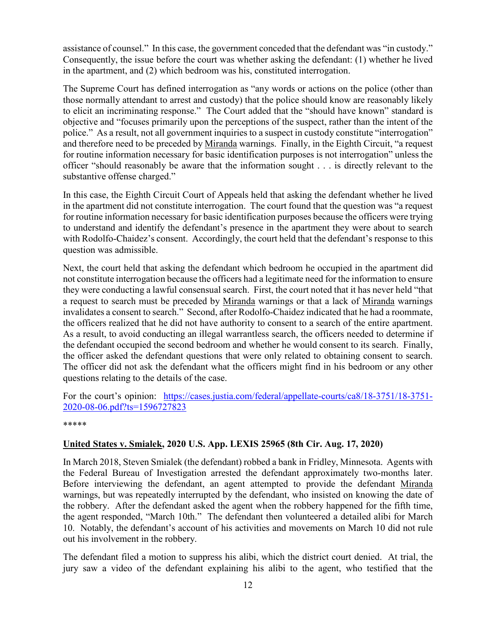assistance of counsel." In this case, the government conceded that the defendant was "in custody." Consequently, the issue before the court was whether asking the defendant: (1) whether he lived in the apartment, and (2) which bedroom was his, constituted interrogation.

The Supreme Court has defined interrogation as "any words or actions on the police (other than those normally attendant to arrest and custody) that the police should know are reasonably likely to elicit an incriminating response." The Court added that the "should have known" standard is objective and "focuses primarily upon the perceptions of the suspect, rather than the intent of the police." As a result, not all government inquiries to a suspect in custody constitute "interrogation" and therefore need to be preceded by Miranda warnings. Finally, in the Eighth Circuit, "a request for routine information necessary for basic identification purposes is not interrogation" unless the officer "should reasonably be aware that the information sought . . . is directly relevant to the substantive offense charged."

In this case, the Eighth Circuit Court of Appeals held that asking the defendant whether he lived in the apartment did not constitute interrogation. The court found that the question was "a request for routine information necessary for basic identification purposes because the officers were trying to understand and identify the defendant's presence in the apartment they were about to search with Rodolfo-Chaidez's consent. Accordingly, the court held that the defendant's response to this question was admissible.

Next, the court held that asking the defendant which bedroom he occupied in the apartment did not constitute interrogation because the officers had a legitimate need for the information to ensure they were conducting a lawful consensual search. First, the court noted that it has never held "that a request to search must be preceded by Miranda warnings or that a lack of Miranda warnings invalidates a consent to search." Second, after Rodolfo-Chaidez indicated that he had a roommate, the officers realized that he did not have authority to consent to a search of the entire apartment. As a result, to avoid conducting an illegal warrantless search, the officers needed to determine if the defendant occupied the second bedroom and whether he would consent to its search. Finally, the officer asked the defendant questions that were only related to obtaining consent to search. The officer did not ask the defendant what the officers might find in his bedroom or any other questions relating to the details of the case.

For the court's opinion: [https://cases.justia.com/federal/appellate-courts/ca8/18-3751/18-3751-](https://cases.justia.com/federal/appellate-courts/ca8/18-3751/18-3751-2020-08-06.pdf?ts=1596727823) [2020-08-06.pdf?ts=1596727823](https://cases.justia.com/federal/appellate-courts/ca8/18-3751/18-3751-2020-08-06.pdf?ts=1596727823)

\*\*\*\*\*

#### <span id="page-11-0"></span>**United States v. Smialek, 2020 U.S. App. LEXIS 25965 (8th Cir. Aug. 17, 2020)**

In March 2018, Steven Smialek (the defendant) robbed a bank in Fridley, Minnesota. Agents with the Federal Bureau of Investigation arrested the defendant approximately two-months later. Before interviewing the defendant, an agent attempted to provide the defendant Miranda warnings, but was repeatedly interrupted by the defendant, who insisted on knowing the date of the robbery. After the defendant asked the agent when the robbery happened for the fifth time, the agent responded, "March 10th." The defendant then volunteered a detailed alibi for March 10. Notably, the defendant's account of his activities and movements on March 10 did not rule out his involvement in the robbery.

The defendant filed a motion to suppress his alibi, which the district court denied. At trial, the jury saw a video of the defendant explaining his alibi to the agent, who testified that the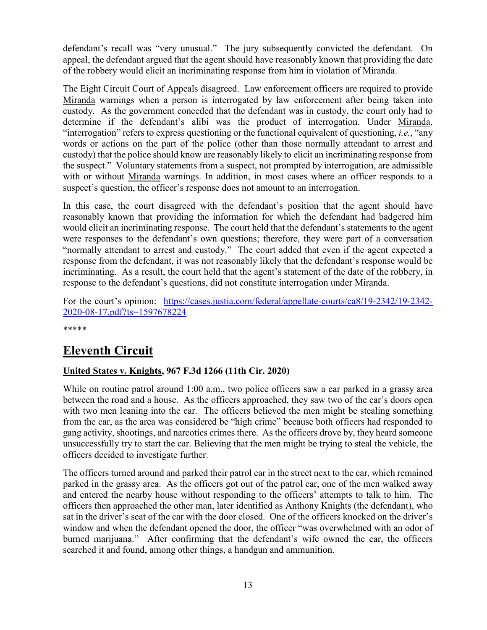defendant's recall was "very unusual." The jury subsequently convicted the defendant. On appeal, the defendant argued that the agent should have reasonably known that providing the date of the robbery would elicit an incriminating response from him in violation of Miranda.

The Eight Circuit Court of Appeals disagreed. Law enforcement officers are required to provide Miranda warnings when a person is interrogated by law enforcement after being taken into custody. As the government conceded that the defendant was in custody, the court only had to determine if the defendant's alibi was the product of interrogation. Under Miranda, "interrogation" refers to express questioning or the functional equivalent of questioning, *i.e.*, "any words or actions on the part of the police (other than those normally attendant to arrest and custody) that the police should know are reasonably likely to elicit an incriminating response from the suspect." Voluntary statements from a suspect, not prompted by interrogation, are admissible with or without Miranda warnings. In addition, in most cases where an officer responds to a suspect's question, the officer's response does not amount to an interrogation.

In this case, the court disagreed with the defendant's position that the agent should have reasonably known that providing the information for which the defendant had badgered him would elicit an incriminating response. The court held that the defendant's statements to the agent were responses to the defendant's own questions; therefore, they were part of a conversation "normally attendant to arrest and custody." The court added that even if the agent expected a response from the defendant, it was not reasonably likely that the defendant's response would be incriminating. As a result, the court held that the agent's statement of the date of the robbery, in response to the defendant's questions, did not constitute interrogation under Miranda.

For the court's opinion: [https://cases.justia.com/federal/appellate-courts/ca8/19-2342/19-2342-](https://cases.justia.com/federal/appellate-courts/ca8/19-2342/19-2342-2020-08-17.pdf?ts=1597678224) [2020-08-17.pdf?ts=1597678224](https://cases.justia.com/federal/appellate-courts/ca8/19-2342/19-2342-2020-08-17.pdf?ts=1597678224)

\*\*\*\*\*

### <span id="page-12-0"></span>**Eleventh Circuit**

### <span id="page-12-1"></span>**United States v. Knights, 967 F.3d 1266 (11th Cir. 2020)**

While on routine patrol around 1:00 a.m., two police officers saw a car parked in a grassy area between the road and a house. As the officers approached, they saw two of the car's doors open with two men leaning into the car. The officers believed the men might be stealing something from the car, as the area was considered be "high crime" because both officers had responded to gang activity, shootings, and narcotics crimes there. As the officers drove by, they heard someone unsuccessfully try to start the car. Believing that the men might be trying to steal the vehicle, the officers decided to investigate further.

The officers turned around and parked their patrol car in the street next to the car, which remained parked in the grassy area. As the officers got out of the patrol car, one of the men walked away and entered the nearby house without responding to the officers' attempts to talk to him. The officers then approached the other man, later identified as Anthony Knights (the defendant), who sat in the driver's seat of the car with the door closed. One of the officers knocked on the driver's window and when the defendant opened the door, the officer "was overwhelmed with an odor of burned marijuana." After confirming that the defendant's wife owned the car, the officers searched it and found, among other things, a handgun and ammunition.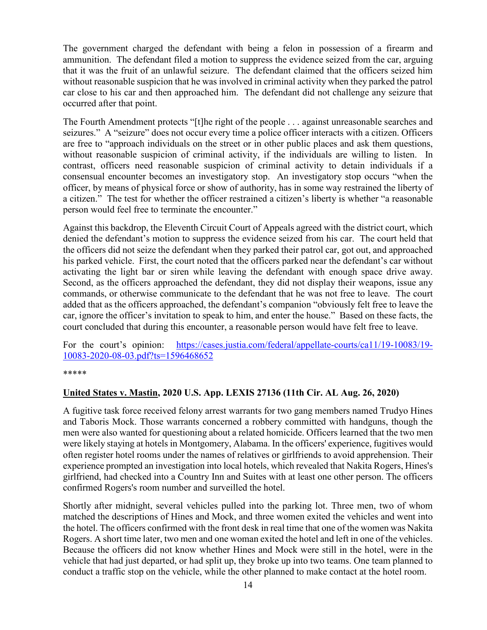The government charged the defendant with being a felon in possession of a firearm and ammunition. The defendant filed a motion to suppress the evidence seized from the car, arguing that it was the fruit of an unlawful seizure. The defendant claimed that the officers seized him without reasonable suspicion that he was involved in criminal activity when they parked the patrol car close to his car and then approached him. The defendant did not challenge any seizure that occurred after that point.

The Fourth Amendment protects "[t]he right of the people . . . against unreasonable searches and seizures." A "seizure" does not occur every time a police officer interacts with a citizen. Officers are free to "approach individuals on the street or in other public places and ask them questions, without reasonable suspicion of criminal activity, if the individuals are willing to listen. In contrast, officers need reasonable suspicion of criminal activity to detain individuals if a consensual encounter becomes an investigatory stop. An investigatory stop occurs "when the officer, by means of physical force or show of authority, has in some way restrained the liberty of a citizen." The test for whether the officer restrained a citizen's liberty is whether "a reasonable person would feel free to terminate the encounter."

Against this backdrop, the Eleventh Circuit Court of Appeals agreed with the district court, which denied the defendant's motion to suppress the evidence seized from his car. The court held that the officers did not seize the defendant when they parked their patrol car, got out, and approached his parked vehicle. First, the court noted that the officers parked near the defendant's car without activating the light bar or siren while leaving the defendant with enough space drive away. Second, as the officers approached the defendant, they did not display their weapons, issue any commands, or otherwise communicate to the defendant that he was not free to leave. The court added that as the officers approached, the defendant's companion "obviously felt free to leave the car, ignore the officer's invitation to speak to him, and enter the house." Based on these facts, the court concluded that during this encounter, a reasonable person would have felt free to leave.

For the court's opinion: [https://cases.justia.com/federal/appellate-courts/ca11/19-10083/19-](https://cases.justia.com/federal/appellate-courts/ca11/19-10083/19-10083-2020-08-03.pdf?ts=1596468652) [10083-2020-08-03.pdf?ts=1596468652](https://cases.justia.com/federal/appellate-courts/ca11/19-10083/19-10083-2020-08-03.pdf?ts=1596468652)

\*\*\*\*\*

#### <span id="page-13-0"></span>**United States v. Mastin, 2020 U.S. App. LEXIS 27136 (11th Cir. AL Aug. 26, 2020)**

A fugitive task force received felony arrest warrants for two gang members named Trudyo Hines and Taboris Mock. Those warrants concerned a robbery committed with handguns, though the men were also wanted for questioning about a related homicide. Officers learned that the two men were likely staying at hotels in Montgomery, Alabama. In the officers' experience, fugitives would often register hotel rooms under the names of relatives or girlfriends to avoid apprehension. Their experience prompted an investigation into local hotels, which revealed that Nakita Rogers, Hines's girlfriend, had checked into a Country Inn and Suites with at least one other person. The officers confirmed Rogers's room number and surveilled the hotel.

Shortly after midnight, several vehicles pulled into the parking lot. Three men, two of whom matched the descriptions of Hines and Mock, and three women exited the vehicles and went into the hotel. The officers confirmed with the front desk in real time that one of the women was Nakita Rogers. A short time later, two men and one woman exited the hotel and left in one of the vehicles. Because the officers did not know whether Hines and Mock were still in the hotel, were in the vehicle that had just departed, or had split up, they broke up into two teams. One team planned to conduct a traffic stop on the vehicle, while the other planned to make contact at the hotel room.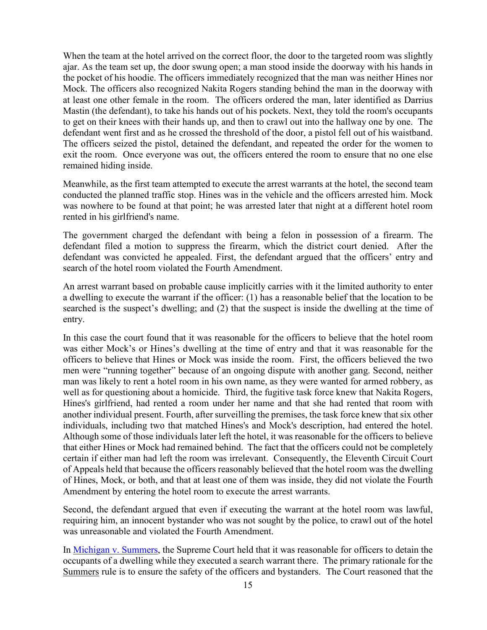When the team at the hotel arrived on the correct floor, the door to the targeted room was slightly ajar. As the team set up, the door swung open; a man stood inside the doorway with his hands in the pocket of his hoodie. The officers immediately recognized that the man was neither Hines nor Mock. The officers also recognized Nakita Rogers standing behind the man in the doorway with at least one other female in the room. The officers ordered the man, later identified as Darrius Mastin (the defendant), to take his hands out of his pockets. Next, they told the room's occupants to get on their knees with their hands up, and then to crawl out into the hallway one by one. The defendant went first and as he crossed the threshold of the door, a pistol fell out of his waistband. The officers seized the pistol, detained the defendant, and repeated the order for the women to exit the room. Once everyone was out, the officers entered the room to ensure that no one else remained hiding inside.

Meanwhile, as the first team attempted to execute the arrest warrants at the hotel, the second team conducted the planned traffic stop. Hines was in the vehicle and the officers arrested him. Mock was nowhere to be found at that point; he was arrested later that night at a different hotel room rented in his girlfriend's name.

The government charged the defendant with being a felon in possession of a firearm. The defendant filed a motion to suppress the firearm, which the district court denied. After the defendant was convicted he appealed. First, the defendant argued that the officers' entry and search of the hotel room violated the Fourth Amendment.

An arrest warrant based on probable cause implicitly carries with it the limited authority to enter a dwelling to execute the warrant if the officer: (1) has a reasonable belief that the location to be searched is the suspect's dwelling; and (2) that the suspect is inside the dwelling at the time of entry.

In this case the court found that it was reasonable for the officers to believe that the hotel room was either Mock's or Hines's dwelling at the time of entry and that it was reasonable for the officers to believe that Hines or Mock was inside the room. First, the officers believed the two men were "running together" because of an ongoing dispute with another gang. Second, neither man was likely to rent a hotel room in his own name, as they were wanted for armed robbery, as well as for questioning about a homicide. Third, the fugitive task force knew that Nakita Rogers, Hines's girlfriend, had rented a room under her name and that she had rented that room with another individual present. Fourth, after surveilling the premises, the task force knew that six other individuals, including two that matched Hines's and Mock's description, had entered the hotel. Although some of those individuals later left the hotel, it was reasonable for the officers to believe that either Hines or Mock had remained behind. The fact that the officers could not be completely certain if either man had left the room was irrelevant. Consequently, the Eleventh Circuit Court of Appeals held that because the officers reasonably believed that the hotel room was the dwelling of Hines, Mock, or both, and that at least one of them was inside, they did not violate the Fourth Amendment by entering the hotel room to execute the arrest warrants.

Second, the defendant argued that even if executing the warrant at the hotel room was lawful, requiring him, an innocent bystander who was not sought by the police, to crawl out of the hotel was unreasonable and violated the Fourth Amendment.

In [Michigan v. Summers,](https://www.oyez.org/cases/1980/79-1794) the Supreme Court held that it was reasonable for officers to detain the occupants of a dwelling while they executed a search warrant there. The primary rationale for the Summers rule is to ensure the safety of the officers and bystanders. The Court reasoned that the